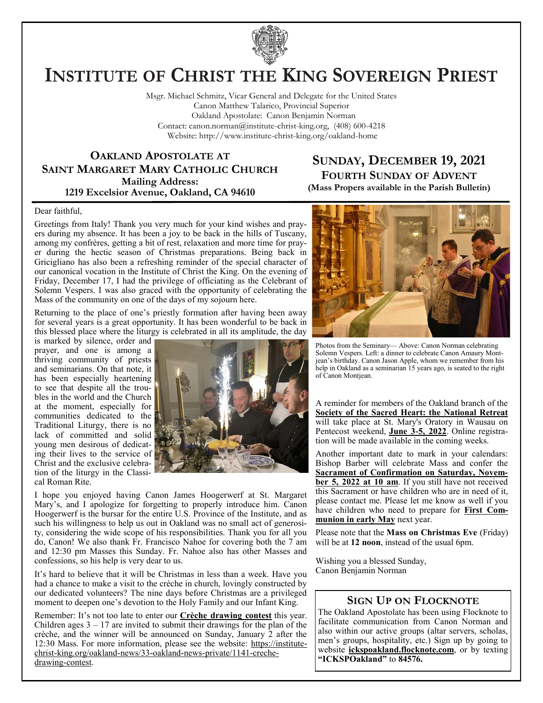

# **INSTITUTE OF CHRIST THE KING SOVEREIGN PRIEST**

Msgr. Michael Schmitz, Vicar General and Delegate for the United States Canon Matthew Talarico, Provincial Superior Oakland Apostolate: Canon Benjamin Norman Contact: canon.norman@institute-christ-king.org, (408) 600-4218 Website: http://www.institute-christ-king.org/oakland-home

## **OAKLAND APOSTOLATE AT SAINT MARGARET MARY CATHOLIC CHURCH Mailing Address: 1219 Excelsior Avenue, Oakland, CA 94610**

# **SUNDAY, DECEMBER 19, 2021 FOURTH SUNDAY OF ADVENT (Mass Propers available in the Parish Bulletin)**

#### Dear faithful,

Greetings from Italy! Thank you very much for your kind wishes and prayers during my absence. It has been a joy to be back in the hills of Tuscany, among my confrères, getting a bit of rest, relaxation and more time for prayer during the hectic season of Christmas preparations. Being back in Gricigliano has also been a refreshing reminder of the special character of our canonical vocation in the Institute of Christ the King. On the evening of Friday, December 17, I had the privilege of officiating as the Celebrant of Solemn Vespers. I was also graced with the opportunity of celebrating the Mass of the community on one of the days of my sojourn here.

Returning to the place of one's priestly formation after having been away for several years is a great opportunity. It has been wonderful to be back in this blessed place where the liturgy is celebrated in all its amplitude, the day

is marked by silence, order and prayer, and one is among a thriving community of priests and seminarians. On that note, it has been especially heartening to see that despite all the troubles in the world and the Church at the moment, especially for communities dedicated to the Traditional Liturgy, there is no lack of committed and solid young men desirous of dedicating their lives to the service of Christ and the exclusive celebration of the liturgy in the Classical Roman Rite.



I hope you enjoyed having Canon James Hoogerwerf at St. Margaret Mary's, and I apologize for forgetting to properly introduce him. Canon Hoogerwerf is the bursar for the entire U.S. Province of the Institute, and as such his willingness to help us out in Oakland was no small act of generosity, considering the wide scope of his responsibilities. Thank you for all you do, Canon! We also thank Fr. Francisco Nahoe for covering both the 7 am and 12:30 pm Masses this Sunday. Fr. Nahoe also has other Masses and confessions, so his help is very dear to us.

It's hard to believe that it will be Christmas in less than a week. Have you had a chance to make a visit to the crèche in church, lovingly constructed by our dedicated volunteers? The nine days before Christmas are a privileged moment to deepen one's devotion to the Holy Family and our Infant King.

Remember: It's not too late to enter our **Crèche drawing contest** this year. Children ages  $3 - 17$  are invited to submit their drawings for the plan of the crèche, and the winner will be announced on Sunday, January 2 after the 12:30 Mass. For more information, please see the website: [https://institute](https://institute-christ-king.org/oakland-news/33-oakland-news-private/1141-creche-drawing-contest)[christ-king.org/oakland-news/33-oakland-news-private/1141-creche](https://institute-christ-king.org/oakland-news/33-oakland-news-private/1141-creche-drawing-contest)[drawing-contest.](https://institute-christ-king.org/oakland-news/33-oakland-news-private/1141-creche-drawing-contest)



Photos from the Seminary— Above: Canon Norman celebrating Solemn Vespers. Left: a dinner to celebrate Canon Amaury Montjean's birthday. Canon Jason Apple, whom we remember from his help in Oakland as a seminarian 15 years ago, is seated to the right of Canon Montjean.

A reminder for members of the Oakland branch of the **Society of the Sacred Heart: the National Retreat** will take place at St. Mary's Oratory in Wausau on Pentecost weekend, **June 3-5, 2022**. Online registration will be made available in the coming weeks.

Another important date to mark in your calendars: Bishop Barber will celebrate Mass and confer the **Sacrament of Confirmation on Saturday, November 5, 2022 at 10 am**. If you still have not received this Sacrament or have children who are in need of it, please contact me. Please let me know as well if you have children who need to prepare for **First Communion in early May** next year.

Please note that the **Mass on Christmas Eve** (Friday) will be at **12 noon**, instead of the usual 6pm.

Wishing you a blessed Sunday, Canon Benjamin Norman

## **SIGN UP ON FLOCKNOTE**

The Oakland Apostolate has been using Flocknote to facilitate communication from Canon Norman and also within our active groups (altar servers, scholas, men's groups, hospitality, etc.) Sign up by going to website **ickspoakland.flocknote.com**, or by texting **"ICKSPOakland"** to **84576.**